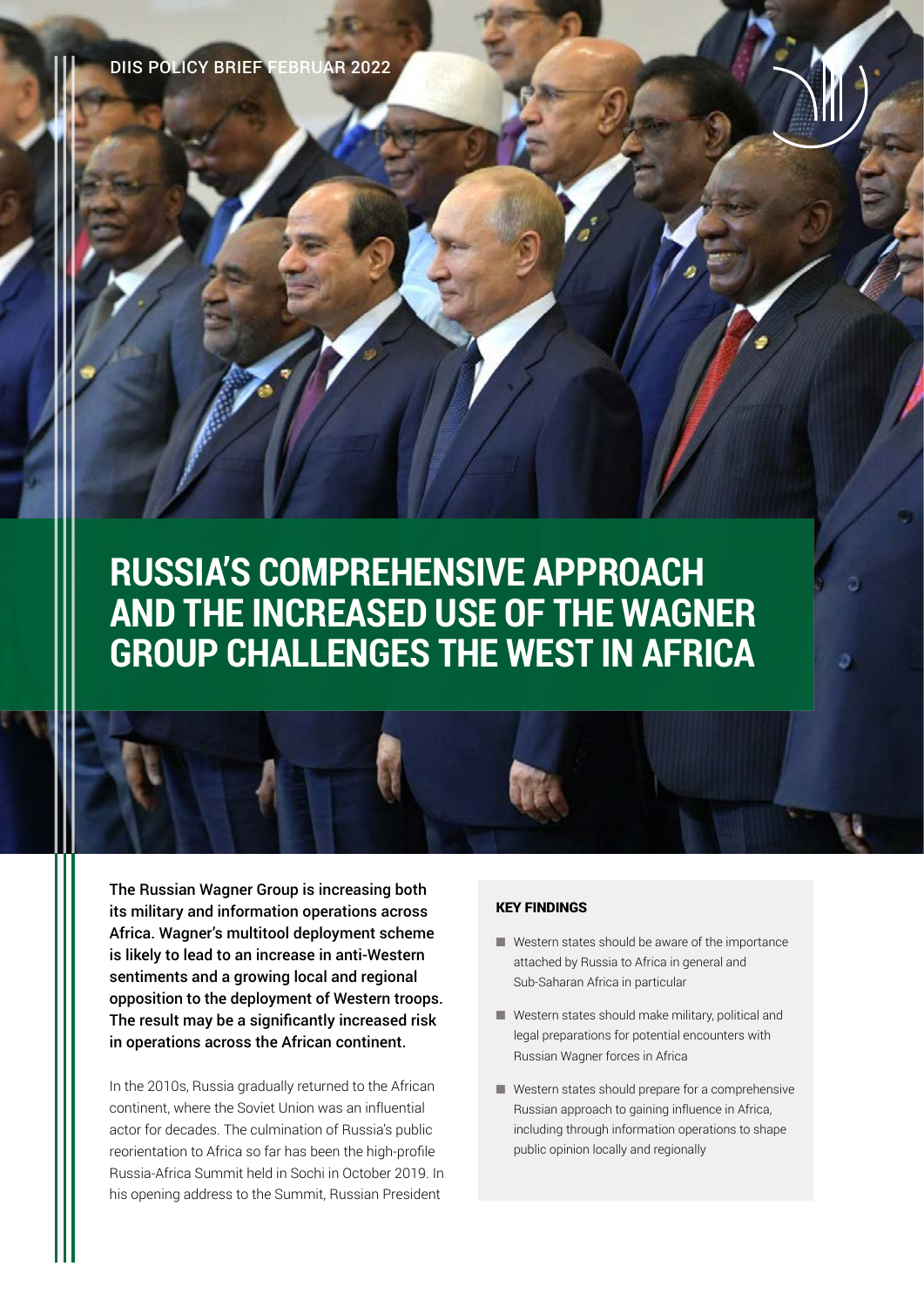DIIS POLICY BRIEF FEBRUAR 2022

# **RUSSIA'S COMPREHENSIVE APPROACH AND THE INCREASED USE OF THE WAGNER GROUP CHALLENGES THE WEST IN AFRICA**

The Russian Wagner Group is increasing both its military and information operations across Africa. Wagner's multitool deployment scheme is likely to lead to an increase in anti-Western sentiments and a growing local and regional opposition to the deployment of Western troops. The result may be a significantly increased risk in operations across the African continent.

In the 2010s, Russia gradually returned to the African continent, where the Soviet Union was an influential actor for decades. The culmination of Russia's public reorientation to Africa so far has been the high-profile Russia-Africa Summit held in Sochi in October 2019. In his opening address to the Summit, Russian President

### KEY FINDINGS

- Western states should be aware of the importance attached by Russia to Africa in general and Sub-Saharan Africa in particular
- Western states should make military, political and legal preparations for potential encounters with Russian Wagner forces in Africa
- Western states should prepare for a comprehensive Russian approach to gaining influence in Africa, including through information operations to shape public opinion locally and regionally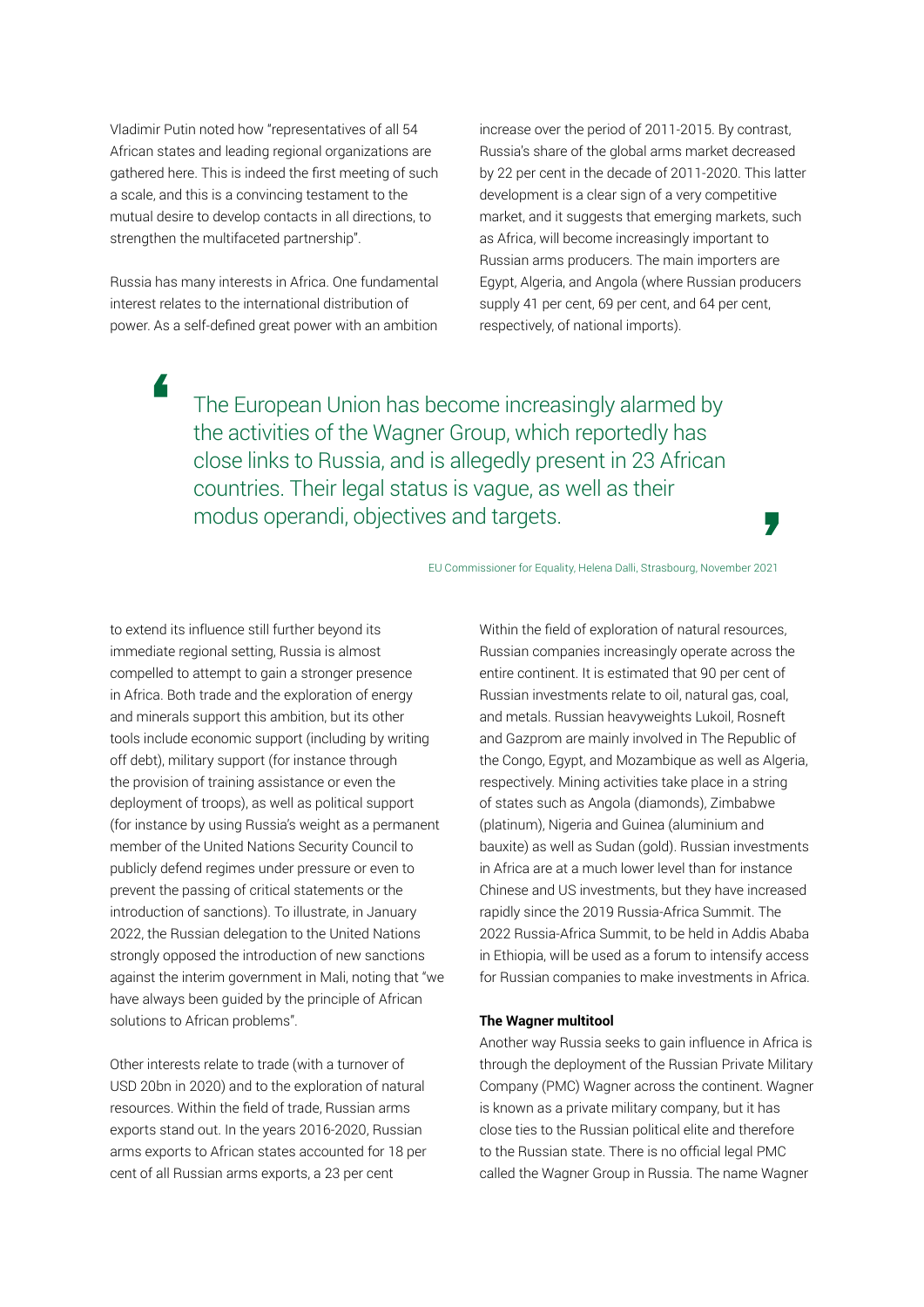Vladimir Putin noted how "representatives of all 54 African states and leading regional organizations are gathered here. This is indeed the first meeting of such a scale, and this is a convincing testament to the mutual desire to develop contacts in all directions, to strengthen the multifaceted partnership".

Russia has many interests in Africa. One fundamental interest relates to the international distribution of power. As a self-defined great power with an ambition

increase over the period of 2011-2015. By contrast, Russia's share of the global arms market decreased by 22 per cent in the decade of 2011-2020. This latter development is a clear sign of a very competitive market, and it suggests that emerging markets, such as Africa, will become increasingly important to Russian arms producers. The main importers are Egypt, Algeria, and Angola (where Russian producers supply 41 per cent, 69 per cent, and 64 per cent, respectively, of national imports).

The European Union has become increasingly alarmed by the activities of the Wagner Group, which reportedly has close links to Russia, and is allegedly present in 23 African countries. Their legal status is vague, as well as their modus operandi, objectives and targets.

EU Commissioner for Equality, Helena Dalli, Strasbourg, November 2021

to extend its influence still further beyond its immediate regional setting, Russia is almost compelled to attempt to gain a stronger presence in Africa. Both trade and the exploration of energy and minerals support this ambition, but its other tools include economic support (including by writing off debt), military support (for instance through the provision of training assistance or even the deployment of troops), as well as political support (for instance by using Russia's weight as a permanent member of the United Nations Security Council to publicly defend regimes under pressure or even to prevent the passing of critical statements or the introduction of sanctions). To illustrate, in January 2022, the Russian delegation to the United Nations strongly opposed the introduction of new sanctions against the interim government in Mali, noting that "we have always been guided by the principle of African solutions to African problems".

Other interests relate to trade (with a turnover of USD 20bn in 2020) and to the exploration of natural resources. Within the field of trade, Russian arms exports stand out. In the years 2016-2020, Russian arms exports to African states accounted for 18 per cent of all Russian arms exports, a 23 per cent

Within the field of exploration of natural resources, Russian companies increasingly operate across the entire continent. It is estimated that 90 per cent of Russian investments relate to oil, natural gas, coal, and metals. Russian heavyweights Lukoil, Rosneft and Gazprom are mainly involved in The Republic of the Congo, Egypt, and Mozambique as well as Algeria, respectively. Mining activities take place in a string of states such as Angola (diamonds), Zimbabwe (platinum), Nigeria and Guinea (aluminium and bauxite) as well as Sudan (gold). Russian investments in Africa are at a much lower level than for instance Chinese and US investments, but they have increased rapidly since the 2019 Russia-Africa Summit. The 2022 Russia-Africa Summit, to be held in Addis Ababa in Ethiopia, will be used as a forum to intensify access for Russian companies to make investments in Africa.

#### **The Wagner multitool**

Another way Russia seeks to gain influence in Africa is through the deployment of the Russian Private Military Company (PMC) Wagner across the continent. Wagner is known as a private military company, but it has close ties to the Russian political elite and therefore to the Russian state. There is no official legal PMC called the Wagner Group in Russia. The name Wagner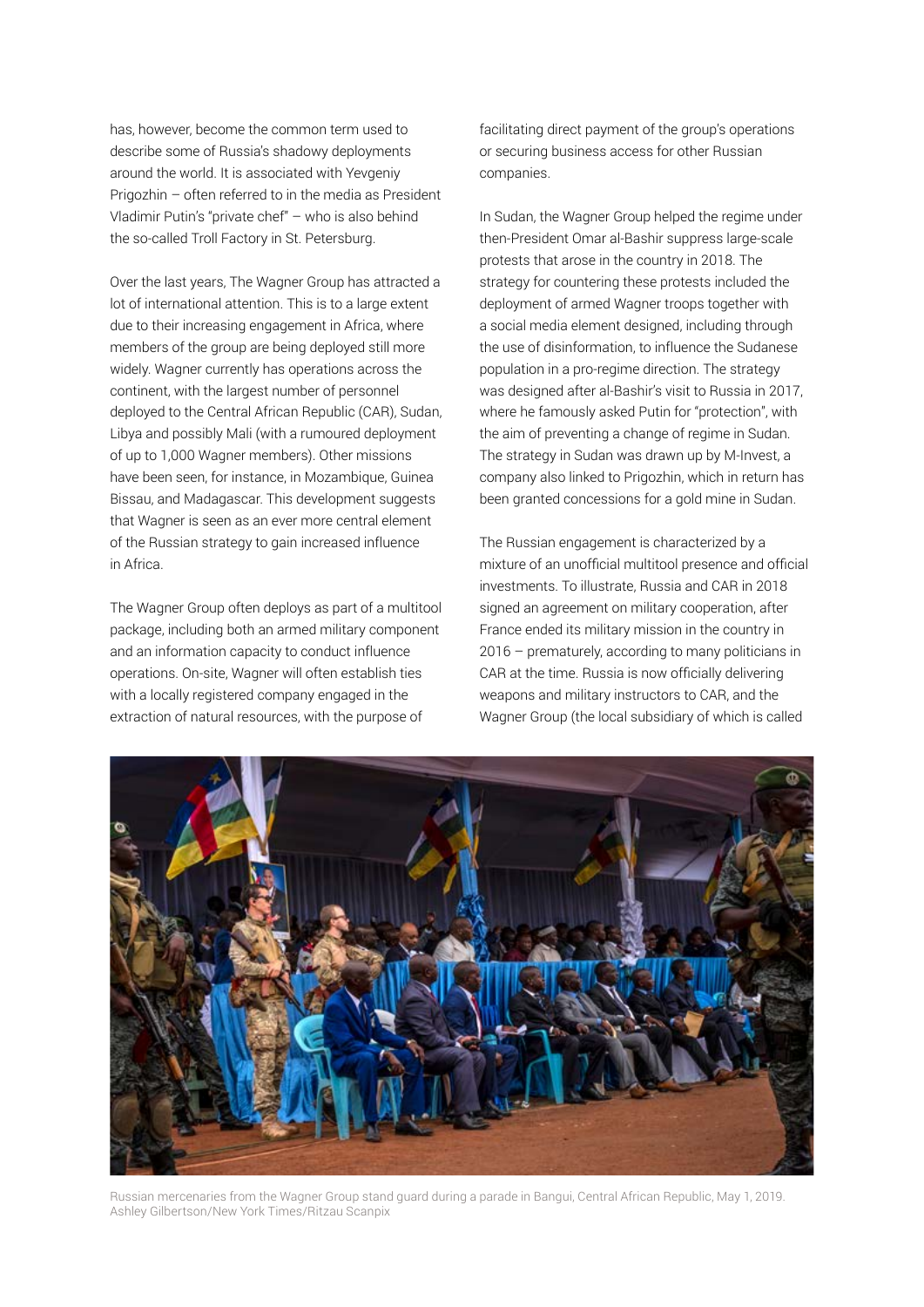has, however, become the common term used to describe some of Russia's shadowy deployments around the world. It is associated with Yevgeniy Prigozhin – often referred to in the media as President Vladimir Putin's "private chef" – who is also behind the so-called Troll Factory in St. Petersburg.

Over the last years, The Wagner Group has attracted a lot of international attention. This is to a large extent due to their increasing engagement in Africa, where members of the group are being deployed still more widely. Wagner currently has operations across the continent, with the largest number of personnel deployed to the Central African Republic (CAR), Sudan, Libya and possibly Mali (with a rumoured deployment of up to 1,000 Wagner members). Other missions have been seen, for instance, in Mozambique, Guinea Bissau, and Madagascar. This development suggests that Wagner is seen as an ever more central element of the Russian strategy to gain increased influence in Africa.

The Wagner Group often deploys as part of a multitool package, including both an armed military component and an information capacity to conduct influence operations. On-site, Wagner will often establish ties with a locally registered company engaged in the extraction of natural resources, with the purpose of

facilitating direct payment of the group's operations or securing business access for other Russian companies.

In Sudan, the Wagner Group helped the regime under then-President Omar al-Bashir suppress large-scale protests that arose in the country in 2018. The strategy for countering these protests included the deployment of armed Wagner troops together with a social media element designed, including through the use of disinformation, to influence the Sudanese population in a pro-regime direction. The strategy was designed after al-Bashir's visit to Russia in 2017, where he famously asked Putin for "protection", with the aim of preventing a change of regime in Sudan. The strategy in Sudan was drawn up by M-Invest, a company also linked to Prigozhin, which in return has been granted concessions for a gold mine in Sudan.

The Russian engagement is characterized by a mixture of an unofficial multitool presence and official investments. To illustrate, Russia and CAR in 2018 signed an agreement on military cooperation, after France ended its military mission in the country in 2016 – prematurely, according to many politicians in CAR at the time. Russia is now officially delivering weapons and military instructors to CAR, and the Wagner Group (the local subsidiary of which is called



Russian mercenaries from the Wagner Group stand guard during a parade in Bangui, Central African Republic, May 1, 2019. Ashley Gilbertson/New York Times/Ritzau Scanpix